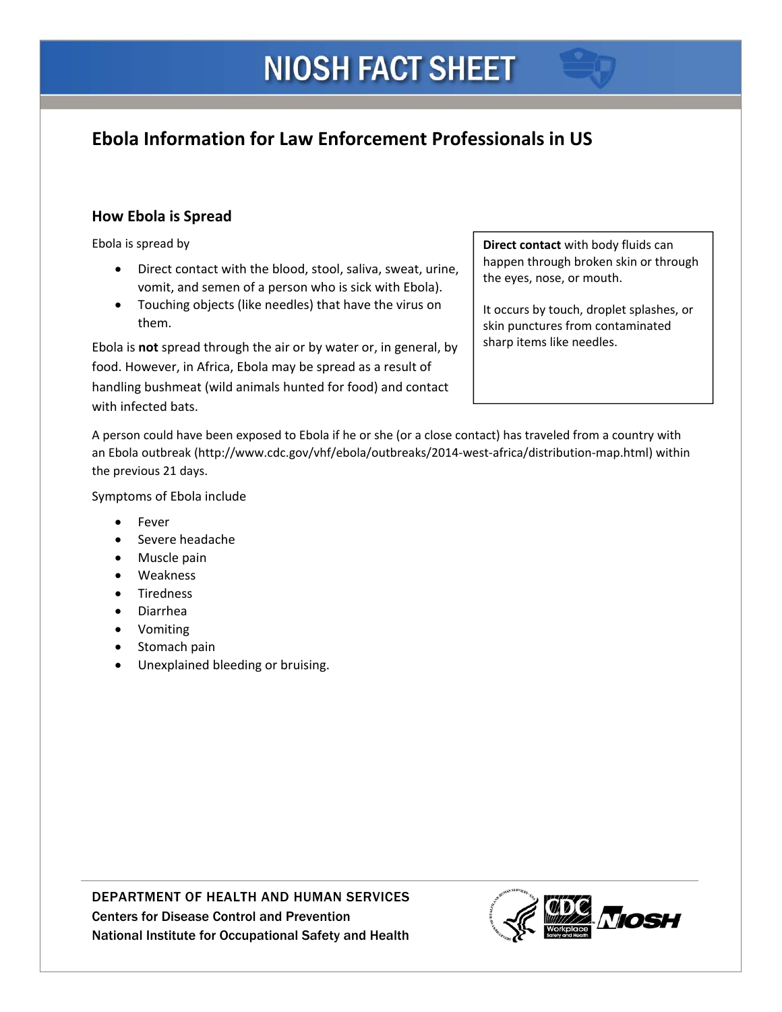# **Ebola Information for Law Enforcement Professionals in US**

## **How Ebola is Spread**

Ebola is spread by

- Direct contact with the blood, stool, saliva, sweat, urine,  $\left\{\begin{array}{c}\n\text{happen through broken skin or through}\n\\
\text{the eyes, nose, or mouth.}\n\end{array}\right.$ vomit, and semen of a person who is sick with Ebola).
- Touching objects (like needles) that have the virus on them. Show them states from contaminated skin punctures from contaminated

Ebola is **not** spread through the air or by water or, in general, by **Follo** sharp items like needles. food. However, in Africa, Ebola may be spread as a result of handling bushmeat (wild animals hunted for food) and contact with infected bats.

Ebola is spread by **Direct contact** with body fluids can happen through broken skin or through the eyes, nose, or mouth.

> It occurs by touch, droplet splashes, or sharp items like needles.

 A person could have been exposed to Ebola if he or she (or a close contact) has traveled from a country with an Ebola outbreak (http://www.cdc.gov/vhf/ebola/outbreaks/2014‐west‐africa/distribution‐map.html) within the previous 21 days.

Symptoms of Ebola include

- Fever
- **Severe headache**
- Muscle pain
- Weakness
- Tiredness
- Diarrhea
- Vomiting
- Stomach pain
- Unexplained bleeding or bruising.

DEPARTMENT OF HEALTH AND HUMAN SERVICES Centers for Disease Control and Prevention National Institute for Occupational Safety and Health

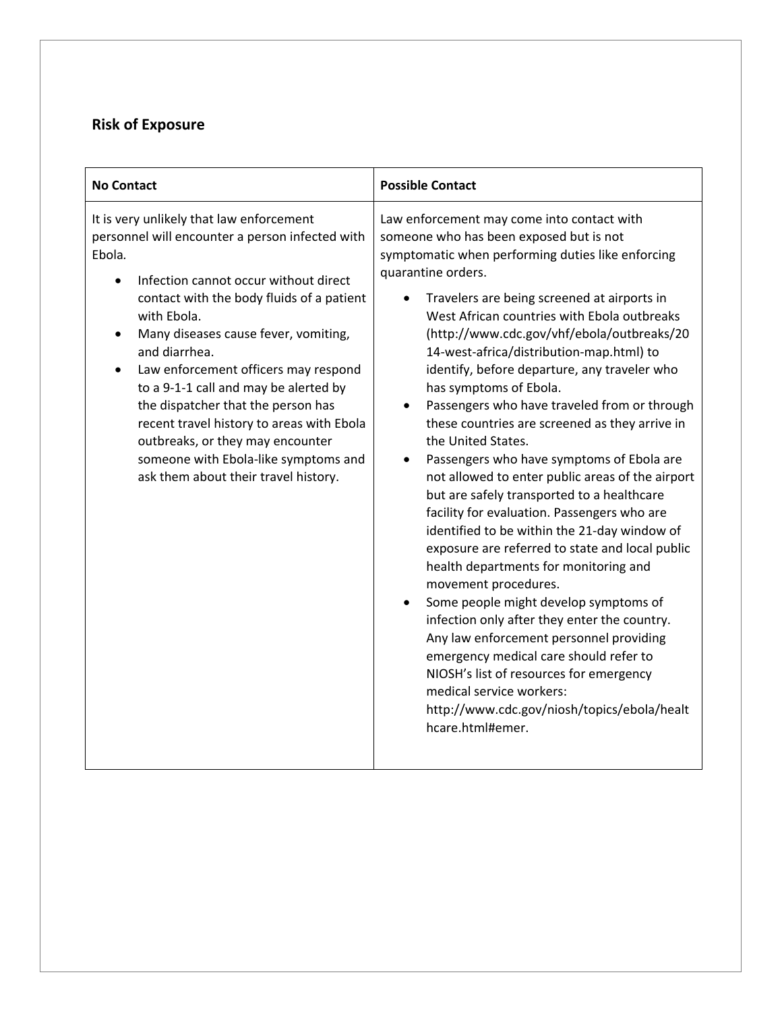#### **Risk of Exposure**

| <b>No Contact</b>                                                                                                                                                                                                                                                                                                                                                                                                                                                                                                                                           | <b>Possible Contact</b>                                                                                                                                                                                                                                                                                                                                                                                                                                                                                                                                                                                                                                                                                                                                                                                                                                                                                                                                                                                                                                                                                                                                                                                                                              |
|-------------------------------------------------------------------------------------------------------------------------------------------------------------------------------------------------------------------------------------------------------------------------------------------------------------------------------------------------------------------------------------------------------------------------------------------------------------------------------------------------------------------------------------------------------------|------------------------------------------------------------------------------------------------------------------------------------------------------------------------------------------------------------------------------------------------------------------------------------------------------------------------------------------------------------------------------------------------------------------------------------------------------------------------------------------------------------------------------------------------------------------------------------------------------------------------------------------------------------------------------------------------------------------------------------------------------------------------------------------------------------------------------------------------------------------------------------------------------------------------------------------------------------------------------------------------------------------------------------------------------------------------------------------------------------------------------------------------------------------------------------------------------------------------------------------------------|
| It is very unlikely that law enforcement<br>personnel will encounter a person infected with<br>Ebola.<br>Infection cannot occur without direct<br>contact with the body fluids of a patient<br>with Ebola.<br>Many diseases cause fever, vomiting,<br>and diarrhea.<br>Law enforcement officers may respond<br>to a 9-1-1 call and may be alerted by<br>the dispatcher that the person has<br>recent travel history to areas with Ebola<br>outbreaks, or they may encounter<br>someone with Ebola-like symptoms and<br>ask them about their travel history. | Law enforcement may come into contact with<br>someone who has been exposed but is not<br>symptomatic when performing duties like enforcing<br>quarantine orders.<br>Travelers are being screened at airports in<br>West African countries with Ebola outbreaks<br>(http://www.cdc.gov/vhf/ebola/outbreaks/20<br>14-west-africa/distribution-map.html) to<br>identify, before departure, any traveler who<br>has symptoms of Ebola.<br>Passengers who have traveled from or through<br>these countries are screened as they arrive in<br>the United States.<br>Passengers who have symptoms of Ebola are<br>not allowed to enter public areas of the airport<br>but are safely transported to a healthcare<br>facility for evaluation. Passengers who are<br>identified to be within the 21-day window of<br>exposure are referred to state and local public<br>health departments for monitoring and<br>movement procedures.<br>Some people might develop symptoms of<br>infection only after they enter the country.<br>Any law enforcement personnel providing<br>emergency medical care should refer to<br>NIOSH's list of resources for emergency<br>medical service workers:<br>http://www.cdc.gov/niosh/topics/ebola/healt<br>hcare.html#emer. |